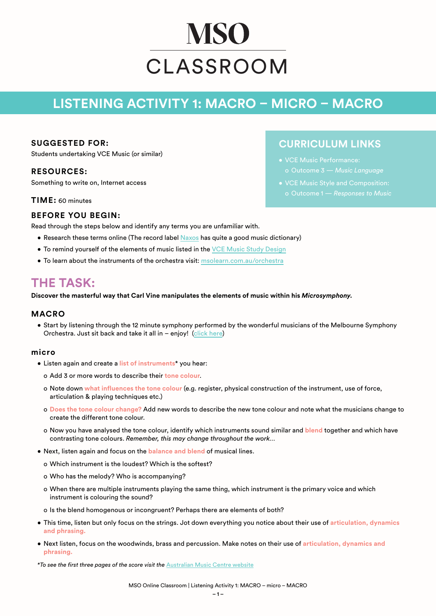# **MSO** CLASSROOM

## **LISTENING ACTIVITY 1: MACRO – MICRO – MACRO**

#### **SUGGESTED FOR:**

Students undertaking VCE Music (or similar)

#### **RESOURCES:**

Something to write on, Internet access

**TIME:** 60 minutes

### **CURRICULUM LINKS**

- VCE Music Performance: o Outcome 3 — *Music Language*
- VCE Music Style and Composition:
- 

#### **BEFORE YOU BEGIN:**

Read through the steps below and identify any terms you are unfamiliar with.

- Research these terms online (The record label [Naxos](https://www.naxos.com/education/glossary.asp) has quite a good music dictionary)
- **To remind yourself of the elements of music listed in the [VCE Music Study Design](https://www.vcaa.vic.edu.au/curriculum/vce/vce-study-designs/music/Pages/Index.aspx)**
- To learn about the instruments of the orchestra visit: [msolearn.com.au/orchestra](https://msolearn.com.au/orchestra)

## **THE TASK:**

**Discover the masterful way that Carl Vine manipulates the elements of music within his** *Microsymphony***.**

#### **MACRO**

• Start by listening through the 12 minute symphony performed by the wonderful musicians of the Melbourne Symphony Orchestra. Just sit back and take it all in – enjoy! ([click here\)](https://www.youtube.com/watch?v=wmI2HcbCSas&t=335s)

#### **micro**

- Listen again and create a **list of instruments**\* you hear:
	- o Add 3 or more words to describe their **tone colour**.
	- o Note down **what influences the tone colour** (e.g. register, physical construction of the instrument, use of force, articulation & playing techniques etc.)
	- o **Does the tone colour change?** Add new words to describe the new tone colour and note what the musicians change to create the different tone colour.
	- o Now you have analysed the tone colour, identify which instruments sound similar and **blend** together and which have contrasting tone colours. *Remember, this may change throughout the work…*
- Next, listen again and focus on the **balance and blend** of musical lines.
	- o Which instrument is the loudest? Which is the softest?
	- o Who has the melody? Who is accompanying?
	- o When there are multiple instruments playing the same thing, which instrument is the primary voice and which instrument is colouring the sound?
	- o Is the blend homogenous or incongruent? Perhaps there are elements of both?
- This time, listen but only focus on the strings. Jot down everything you notice about their use of **articulation, dynamics and phrasing.**
- Next listen, focus on the woodwinds, brass and percussion. Make notes on their use of **articulation, dynamics and phrasing.**

*\*To see the first three pages of the score visit the* [Australian Music Centre website](http://awscdn.australianmusiccentre.com.au/documents/ds_1999_2837.pdf)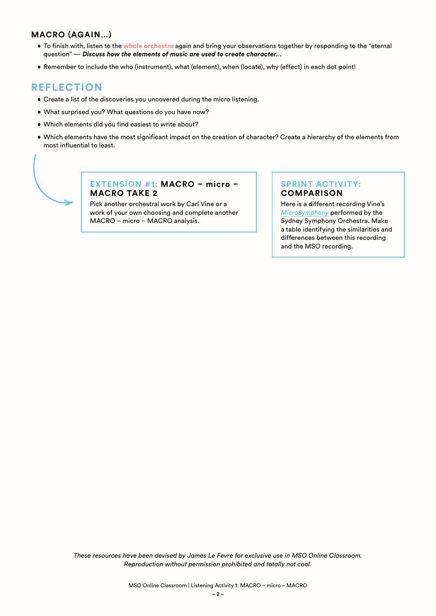#### **MACRO (AGAIN…)**

- To finish with, listen to the **whole orchestra** again and bring your observations together by responding to the "eternal question" — *Discuss how the elements of music are used to create character…*
- Remember to include the who (instrument), what (element), when (locate), why (effect) in each dot point!

#### **REFLECTION**

- Create a list of the discoveries you uncovered during the micro listening.
- What surprised you? What questions do you have now?
- Which elements did you find easiest to write about?
- Which elements have the most significant impact on the creation of character? Create a hierarchy of the elements from most influential to least.

#### **EXTENSION #1: MACRO – micro – MACRO TAKE 2**

Pick another orchestral work by Carl Vine or a work of your own choosing and complete another MACRO – micro – MACRO analysis.

#### **SPRINT ACTIVITY: COMPARISON**

Here is a different recording Vine's *[MicroSymphony](https://www.youtube.com/watch?v=rh-BjqwwMHk)* performed by the Sydney Symphony Orchestra. Make a table identifying the similarities and differences between this recording and the MSO recording.

*These resources have been devised by James Le Fevre for exclusive use in MSO Online Classroom. Reproduction without permission prohibited and totally not cool.*